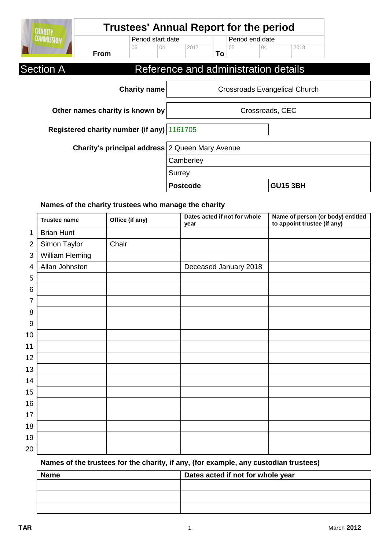| <b>CHARITY</b>                                         | <b>Trustees' Annual Report for the period</b> |                     |                 |                 |    |                 |                                      |                               |  |
|--------------------------------------------------------|-----------------------------------------------|---------------------|-----------------|-----------------|----|-----------------|--------------------------------------|-------------------------------|--|
| <b>COMMISSION</b>                                      |                                               | Period start date   |                 |                 |    | Period end date |                                      |                               |  |
|                                                        | <b>From</b>                                   | 06                  | 04              | 2017            | To | 0 <sub>5</sub>  | 04                                   | 2018                          |  |
| <b>Section A</b>                                       |                                               |                     |                 |                 |    |                 | Reference and administration details |                               |  |
|                                                        |                                               | <b>Charity name</b> |                 |                 |    |                 |                                      | Crossroads Evangelical Church |  |
| Other names charity is known by                        |                                               |                     | Crossroads, CEC |                 |    |                 |                                      |                               |  |
|                                                        | Registered charity number (if any) 1161705    |                     |                 |                 |    |                 |                                      |                               |  |
| <b>Charity's principal address</b> 2 Queen Mary Avenue |                                               |                     |                 |                 |    |                 |                                      |                               |  |
|                                                        |                                               |                     | Camberley       |                 |    |                 |                                      |                               |  |
|                                                        |                                               |                     | Surrey          |                 |    |                 |                                      |                               |  |
|                                                        |                                               |                     |                 | <b>Postcode</b> |    |                 |                                      | <b>GU15 3BH</b>               |  |

## **Names of the charity trustees who manage the charity**

|                | <b>Trustee name</b> | Office (if any) | Dates acted if not for whole<br>year | Name of person (or body) entitled<br>to appoint trustee (if any) |
|----------------|---------------------|-----------------|--------------------------------------|------------------------------------------------------------------|
| $\mathbf 1$    | <b>Brian Hunt</b>   |                 |                                      |                                                                  |
| $\overline{2}$ | Simon Taylor        | Chair           |                                      |                                                                  |
| 3              | William Fleming     |                 |                                      |                                                                  |
| 4              | Allan Johnston      |                 | Deceased January 2018                |                                                                  |
| 5              |                     |                 |                                      |                                                                  |
| 6              |                     |                 |                                      |                                                                  |
| 7              |                     |                 |                                      |                                                                  |
| 8              |                     |                 |                                      |                                                                  |
| $9\,$          |                     |                 |                                      |                                                                  |
| 10             |                     |                 |                                      |                                                                  |
| 11             |                     |                 |                                      |                                                                  |
| 12             |                     |                 |                                      |                                                                  |
| 13             |                     |                 |                                      |                                                                  |
| 14             |                     |                 |                                      |                                                                  |
| 15             |                     |                 |                                      |                                                                  |
| 16             |                     |                 |                                      |                                                                  |
| 17             |                     |                 |                                      |                                                                  |
| 18             |                     |                 |                                      |                                                                  |
| 19             |                     |                 |                                      |                                                                  |
| 20             |                     |                 |                                      |                                                                  |

## **Names of the trustees for the charity, if any, (for example, any custodian trustees)**

| <b>Name</b> | Dates acted if not for whole year |
|-------------|-----------------------------------|
|             |                                   |
|             |                                   |
|             |                                   |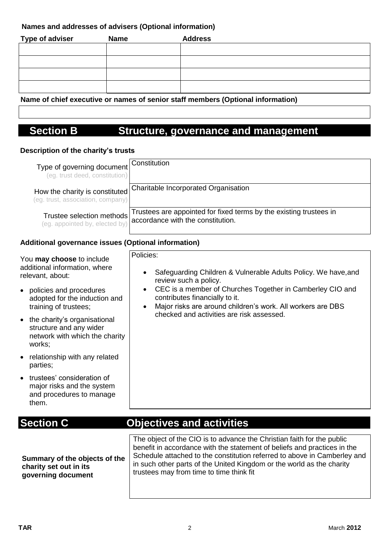## **Names and addresses of advisers (Optional information)**

| <b>Type of adviser</b> | <b>Name</b> | <b>Address</b> |
|------------------------|-------------|----------------|
|                        |             |                |
|                        |             |                |
|                        |             |                |
|                        |             |                |

**Name of chief executive or names of senior staff members (Optional information)**

# **Section B Structure, governance and management**

## **Description of the charity's trusts**

| Type of governing document<br>(eg. trust deed, constitution)        | Constitution                                                                                            |
|---------------------------------------------------------------------|---------------------------------------------------------------------------------------------------------|
| How the charity is constituted<br>(eg. trust, association, company) | <b>Charitable Incorporated Organisation</b>                                                             |
| Trustee selection methods<br>(eg. appointed by, elected by)         | Trustees are appointed for fixed terms by the existing trustees in<br>accordance with the constitution. |

## **Additional governance issues (Optional information)**

| You may choose to include<br>additional information, where<br>relevant, about:                        | Policies:<br>Safeguarding Children & Vulnerable Adults Policy. We have, and<br>$\bullet$<br>review such a policy.                                                                                                                                                                                                                                   |  |  |  |  |
|-------------------------------------------------------------------------------------------------------|-----------------------------------------------------------------------------------------------------------------------------------------------------------------------------------------------------------------------------------------------------------------------------------------------------------------------------------------------------|--|--|--|--|
| policies and procedures<br>$\bullet$<br>adopted for the induction and<br>training of trustees;        | CEC is a member of Churches Together in Camberley CIO and<br>$\bullet$<br>contributes financially to it.<br>Major risks are around children's work. All workers are DBS<br>$\bullet$                                                                                                                                                                |  |  |  |  |
| • the charity's organisational<br>structure and any wider<br>network with which the charity<br>works; | checked and activities are risk assessed.                                                                                                                                                                                                                                                                                                           |  |  |  |  |
| relationship with any related<br>parties;                                                             |                                                                                                                                                                                                                                                                                                                                                     |  |  |  |  |
| • trustees' consideration of<br>major risks and the system<br>and procedures to manage<br>them.       |                                                                                                                                                                                                                                                                                                                                                     |  |  |  |  |
| <b>Section C</b>                                                                                      | <b>Objectives and activities</b>                                                                                                                                                                                                                                                                                                                    |  |  |  |  |
| Summary of the objects of the<br>charity set out in its<br>governing document                         | The object of the CIO is to advance the Christian faith for the public<br>benefit in accordance with the statement of beliefs and practices in the<br>Schedule attached to the constitution referred to above in Camberley and<br>in such other parts of the United Kingdom or the world as the charity<br>trustees may from time to time think fit |  |  |  |  |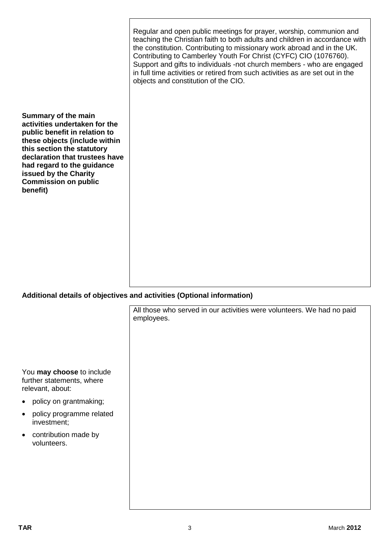| Summary of the main<br>activities undertaken for the<br>public benefit in relation to<br>these objects (include within<br>this section the statutory<br>declaration that trustees have<br>had regard to the guidance<br>issued by the Charity<br><b>Commission on public</b><br>benefit) | Regular and open public meetings for prayer, worship, communion and<br>teaching the Christian faith to both adults and children in accordance with<br>the constitution. Contributing to missionary work abroad and in the UK.<br>Contributing to Camberley Youth For Christ (CYFC) CIO (1076760).<br>Support and gifts to individuals -not church members - who are engaged<br>in full time activities or retired from such activities as are set out in the<br>objects and constitution of the CIO. |
|------------------------------------------------------------------------------------------------------------------------------------------------------------------------------------------------------------------------------------------------------------------------------------------|------------------------------------------------------------------------------------------------------------------------------------------------------------------------------------------------------------------------------------------------------------------------------------------------------------------------------------------------------------------------------------------------------------------------------------------------------------------------------------------------------|
|                                                                                                                                                                                                                                                                                          |                                                                                                                                                                                                                                                                                                                                                                                                                                                                                                      |

## **Additional details of objectives and activities (Optional information)**

|                                                                            | All those who served in our activities were volunteers. We had no paid<br>employees. |
|----------------------------------------------------------------------------|--------------------------------------------------------------------------------------|
|                                                                            |                                                                                      |
| You may choose to include<br>further statements, where<br>relevant, about: |                                                                                      |
| • policy on grantmaking;                                                   |                                                                                      |
| policy programme related<br>$\bullet$<br>investment;                       |                                                                                      |
| contribution made by<br>$\bullet$<br>volunteers.                           |                                                                                      |
|                                                                            |                                                                                      |
|                                                                            |                                                                                      |
|                                                                            |                                                                                      |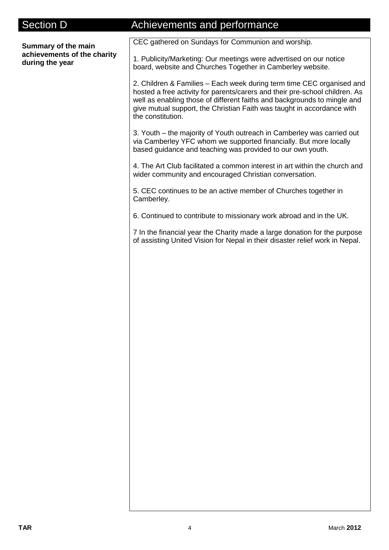# Section D **Achievements and performance Summary of the main achievements of the charity during the year** CEC gathered on Sundays for Communion and worship. 1. Publicity/Marketing: Our meetings were advertised on our notice board, website and Churches Together in Camberley website. 2. Children & Families – Each week during term time CEC organised and hosted a free activity for parents/carers and their pre-school children. As well as enabling those of different faiths and backgrounds to mingle and give mutual support, the Christian Faith was taught in accordance with the constitution. 3. Youth – the majority of Youth outreach in Camberley was carried out via Camberley YFC whom we supported financially. But more locally based guidance and teaching was provided to our own youth. 4. The Art Club facilitated a common interest in art within the church and wider community and encouraged Christian conversation. 5. CEC continues to be an active member of Churches together in Camberley. 6. Continued to contribute to missionary work abroad and in the UK. 7 In the financial year the Charity made a large donation for the purpose of assisting United Vision for Nepal in their disaster relief work in Nepal.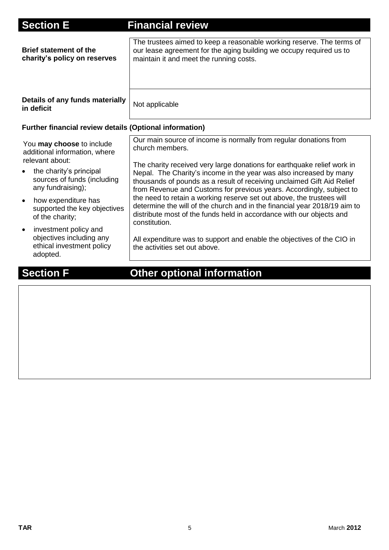| <b>Section E</b>                                                                                                                                                                                                                                                                                                                                               | <b>Financial review</b>                                                                                                                                                                                                                                                                                                                                                                                                                                                                                                                                                                                                                                                                                                                           |  |  |  |  |
|----------------------------------------------------------------------------------------------------------------------------------------------------------------------------------------------------------------------------------------------------------------------------------------------------------------------------------------------------------------|---------------------------------------------------------------------------------------------------------------------------------------------------------------------------------------------------------------------------------------------------------------------------------------------------------------------------------------------------------------------------------------------------------------------------------------------------------------------------------------------------------------------------------------------------------------------------------------------------------------------------------------------------------------------------------------------------------------------------------------------------|--|--|--|--|
| <b>Brief statement of the</b><br>charity's policy on reserves                                                                                                                                                                                                                                                                                                  | The trustees aimed to keep a reasonable working reserve. The terms of<br>our lease agreement for the aging building we occupy required us to<br>maintain it and meet the running costs.                                                                                                                                                                                                                                                                                                                                                                                                                                                                                                                                                           |  |  |  |  |
| Details of any funds materially<br>in deficit                                                                                                                                                                                                                                                                                                                  | Not applicable                                                                                                                                                                                                                                                                                                                                                                                                                                                                                                                                                                                                                                                                                                                                    |  |  |  |  |
| <b>Further financial review details (Optional information)</b>                                                                                                                                                                                                                                                                                                 |                                                                                                                                                                                                                                                                                                                                                                                                                                                                                                                                                                                                                                                                                                                                                   |  |  |  |  |
| You may choose to include<br>additional information, where<br>relevant about:<br>the charity's principal<br>sources of funds (including<br>any fundraising);<br>how expenditure has<br>$\bullet$<br>supported the key objectives<br>of the charity;<br>investment policy and<br>$\bullet$<br>objectives including any<br>ethical investment policy<br>adopted. | Our main source of income is normally from regular donations from<br>church members.<br>The charity received very large donations for earthquake relief work in<br>Nepal. The Charity's income in the year was also increased by many<br>thousands of pounds as a result of receiving unclaimed Gift Aid Relief<br>from Revenue and Customs for previous years. Accordingly, subject to<br>the need to retain a working reserve set out above, the trustees will<br>determine the will of the church and in the financial year 2018/19 aim to<br>distribute most of the funds held in accordance with our objects and<br>constitution.<br>All expenditure was to support and enable the objectives of the CIO in<br>the activities set out above. |  |  |  |  |

# **Section F Other optional information**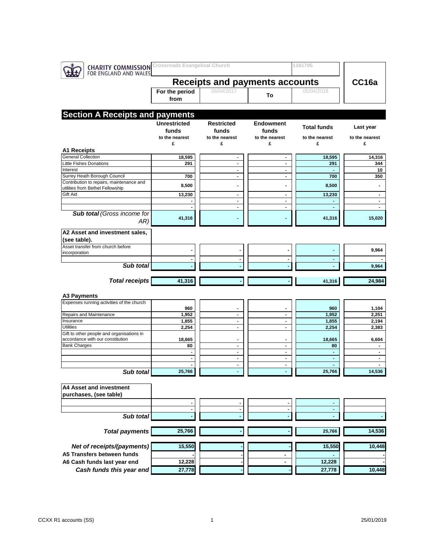| <b>CHARITY COMMISSION</b> Crossroads Evangelical Church<br>FOR ENGLAND AND WALES |                                                |                                            |                                                | 1161705                          |                                            |
|----------------------------------------------------------------------------------|------------------------------------------------|--------------------------------------------|------------------------------------------------|----------------------------------|--------------------------------------------|
|                                                                                  |                                                | <b>Receipts and payments accounts</b>      |                                                | CC16a                            |                                            |
|                                                                                  | For the period<br>from                         | 06/04/2017                                 | To                                             | 05/04/2018                       |                                            |
| <b>Section A Receipts and payments</b>                                           |                                                |                                            |                                                |                                  |                                            |
|                                                                                  | <b>Unrestricted</b><br>funds<br>to the nearest | <b>Restricted</b><br>funds                 | <b>Endowment</b><br>funds                      | <b>Total funds</b>               | Last year                                  |
|                                                                                  | £                                              | to the nearest<br>£                        | to the nearest<br>£                            | to the nearest<br>£              | to the nearest<br>£                        |
| <b>A1 Receipts</b>                                                               |                                                |                                            |                                                |                                  |                                            |
| <b>General Collection</b><br><b>Little Fishes Donations</b>                      | 18,595<br>291                                  | $\qquad \qquad \blacksquare$               | $\qquad \qquad \blacksquare$                   | 18,595<br>291                    | 14,316<br>344                              |
| Interest                                                                         |                                                | $\blacksquare$<br>$\overline{\phantom{a}}$ | $\blacksquare$<br>$\blacksquare$               |                                  | 10                                         |
| Surrey Heath Borough Council                                                     | 700                                            | $\blacksquare$                             | $\blacksquare$                                 | 700                              | 350                                        |
| Contribution to repairs, maintenance and<br>utilities from Bethel Fellowship     | 8,500                                          |                                            |                                                | 8,500                            |                                            |
| Gift Aid                                                                         | 13,230                                         | $\blacksquare$                             | $\blacksquare$                                 | 13,230                           | $\blacksquare$                             |
|                                                                                  |                                                | $\blacksquare$                             | $\blacksquare$                                 |                                  | $\qquad \qquad \blacksquare$               |
| <b>Sub total (Gross income for</b><br>AR)                                        | 41,316                                         | $\blacksquare$                             | $\qquad \qquad \blacksquare$                   | 41,316                           | $\qquad \qquad \blacksquare$<br>15,020     |
| A2 Asset and investment sales,                                                   |                                                |                                            |                                                |                                  |                                            |
| (see table).                                                                     |                                                |                                            |                                                |                                  |                                            |
| Asset transfer from church before<br>incorporation                               |                                                |                                            |                                                |                                  | 9,964                                      |
|                                                                                  |                                                |                                            |                                                | $\blacksquare$                   |                                            |
| Sub total                                                                        |                                                |                                            |                                                |                                  | 9,964                                      |
| <b>Total receipts</b>                                                            | 41,316                                         |                                            |                                                | 41,316                           | 24,984                                     |
| A3 Payments                                                                      |                                                |                                            |                                                |                                  |                                            |
| Expenses running activities of the church                                        |                                                |                                            |                                                |                                  |                                            |
|                                                                                  | 960                                            |                                            |                                                | 960                              | 1,104                                      |
| Repairs and Maintenance                                                          | 1,952                                          | $\blacksquare$                             | $\blacksquare$                                 | 1,952                            | 2,251                                      |
| Insurance<br><b>Utilities</b>                                                    | 1,855                                          | $\overline{\phantom{a}}$                   | $\overline{\phantom{a}}$<br>$\blacksquare$     | 1,855                            | 2,194                                      |
| Gift to other people and organisations in                                        | 2,254                                          | $\blacksquare$                             |                                                | 2,254                            | 2,383                                      |
| accordance with our constitution                                                 | 18,665                                         | $\blacksquare$                             | $\overline{a}$                                 | 18,665                           | 6,604                                      |
| <b>Bank Charges</b>                                                              | 80                                             | $\blacksquare$                             | $\blacksquare$                                 | 80                               | $\blacksquare$                             |
|                                                                                  | $\blacksquare$                                 | $\blacksquare$                             | $\blacksquare$                                 | $\blacksquare$                   | $\blacksquare$                             |
|                                                                                  | $\blacksquare$                                 | $\blacksquare$<br>$\blacksquare$           | $\qquad \qquad \blacksquare$<br>$\blacksquare$ | $\blacksquare$<br>$\blacksquare$ | $\overline{\phantom{0}}$<br>$\blacksquare$ |
| Sub total                                                                        | 25,766                                         |                                            |                                                | 25,766                           | 14,536                                     |
|                                                                                  |                                                |                                            |                                                |                                  |                                            |
| A4 Asset and investment<br>purchases, (see table)                                |                                                |                                            |                                                |                                  |                                            |
|                                                                                  |                                                |                                            |                                                |                                  |                                            |
| Sub total                                                                        | $\blacksquare$                                 | $\overline{\phantom{a}}$                   | $\blacksquare$                                 | $\blacksquare$                   |                                            |
| <b>Total payments</b>                                                            | 25,766                                         |                                            |                                                | 25,766                           | 14,536                                     |
|                                                                                  |                                                |                                            |                                                |                                  |                                            |
| Net of receipts/(payments)                                                       | 15,550                                         |                                            |                                                | 15,550                           | 10,448                                     |
| A5 Transfers between funds                                                       |                                                |                                            |                                                |                                  |                                            |
| A6 Cash funds last year end                                                      | 12,228                                         |                                            |                                                | 12,228                           |                                            |
| Cash funds this year end                                                         | 27,778                                         |                                            |                                                | 27,778                           | 10,448                                     |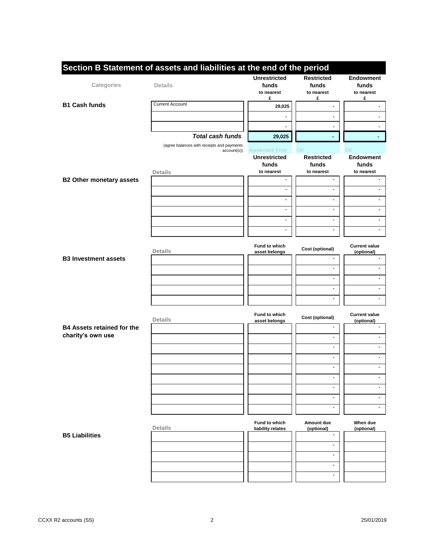|                                   | Section B Statement of assets and liabilities at the end of the period | <b>Unrestricted</b>      | <b>Restricted</b>            | <b>Endowment</b>             |
|-----------------------------------|------------------------------------------------------------------------|--------------------------|------------------------------|------------------------------|
| Categories                        | <b>Details</b>                                                         | funds                    | funds                        | funds                        |
|                                   |                                                                        | to nearest               | to nearest                   | to nearest                   |
|                                   |                                                                        | £                        | £                            | £                            |
| <b>B1 Cash funds</b>              | <b>Current Account</b>                                                 | 29,025                   |                              |                              |
|                                   |                                                                        |                          | $\blacksquare$               |                              |
|                                   |                                                                        |                          |                              |                              |
|                                   |                                                                        |                          | $\blacksquare$               | $\overline{\phantom{0}}$     |
|                                   | <b>Total cash funds</b>                                                | 29,025                   | ٠                            | ٠                            |
|                                   | (agree balances with receipts and payments                             |                          |                              |                              |
|                                   | account(s))                                                            | <b>Agreement Error</b>   | OK                           | OK                           |
|                                   |                                                                        | <b>Unrestricted</b>      | <b>Restricted</b>            | <b>Endowment</b>             |
|                                   |                                                                        | funds                    | funds                        | funds                        |
|                                   | <b>Details</b>                                                         | to nearest               | to nearest                   | to nearest                   |
| <b>B2 Other monetary assets</b>   |                                                                        | $\blacksquare$           | $\blacksquare$               | $\blacksquare$               |
|                                   |                                                                        | $\overline{\phantom{a}}$ | $\blacksquare$               | $\blacksquare$               |
|                                   |                                                                        | ÷                        | $\blacksquare$               | $\overline{\phantom{0}}$     |
|                                   |                                                                        | $\blacksquare$           | $\blacksquare$               | $\blacksquare$               |
|                                   |                                                                        |                          |                              |                              |
|                                   |                                                                        | $\blacksquare$           | $\blacksquare$               | $\overline{\phantom{a}}$     |
|                                   |                                                                        | $\blacksquare$           | $\blacksquare$               | $\frac{1}{2}$                |
|                                   |                                                                        |                          |                              |                              |
|                                   |                                                                        | <b>Fund to which</b>     |                              | <b>Current value</b>         |
|                                   | Details                                                                | asset belongs            | Cost (optional)              | (optional)                   |
| <b>B3 Investment assets</b>       |                                                                        |                          | $\blacksquare$               |                              |
|                                   |                                                                        |                          | $\blacksquare$               |                              |
|                                   |                                                                        |                          | $\blacksquare$               | ä,                           |
|                                   |                                                                        |                          |                              |                              |
|                                   |                                                                        |                          | $\blacksquare$               | $\overline{\phantom{a}}$     |
|                                   |                                                                        |                          | $\blacksquare$               | $\qquad \qquad \blacksquare$ |
|                                   |                                                                        |                          |                              |                              |
|                                   |                                                                        | Fund to which            | Cost (optional)              | <b>Current value</b>         |
|                                   | <b>Details</b>                                                         | asset belongs            | $\blacksquare$               | (optional)                   |
| <b>B4 Assets retained for the</b> |                                                                        |                          |                              |                              |
| charity's own use                 |                                                                        |                          | $\blacksquare$               |                              |
|                                   |                                                                        |                          | $\blacksquare$               | $\overline{\phantom{a}}$     |
|                                   |                                                                        |                          | $\blacksquare$               | $\overline{\phantom{a}}$     |
|                                   |                                                                        |                          |                              |                              |
|                                   |                                                                        |                          | $\blacksquare$               | $\overline{\phantom{a}}$     |
|                                   |                                                                        |                          | $\blacksquare$               |                              |
|                                   |                                                                        |                          | $\blacksquare$               | $\blacksquare$               |
|                                   |                                                                        |                          |                              |                              |
|                                   |                                                                        |                          | $\blacksquare$               | $\overline{\phantom{a}}$     |
|                                   |                                                                        |                          | $\blacksquare$               | $\blacksquare$               |
|                                   |                                                                        |                          |                              |                              |
|                                   | <b>Details</b>                                                         | Fund to which            | Amount due                   | When due                     |
| <b>B5 Liabilities</b>             |                                                                        | liability relates        | (optional)<br>$\blacksquare$ | (optional)                   |
|                                   |                                                                        |                          |                              |                              |
|                                   |                                                                        |                          | $\blacksquare$               |                              |
|                                   |                                                                        |                          | $\blacksquare$               |                              |
|                                   |                                                                        |                          | $\blacksquare$               |                              |
|                                   |                                                                        |                          |                              |                              |
|                                   |                                                                        |                          | $\blacksquare$               |                              |